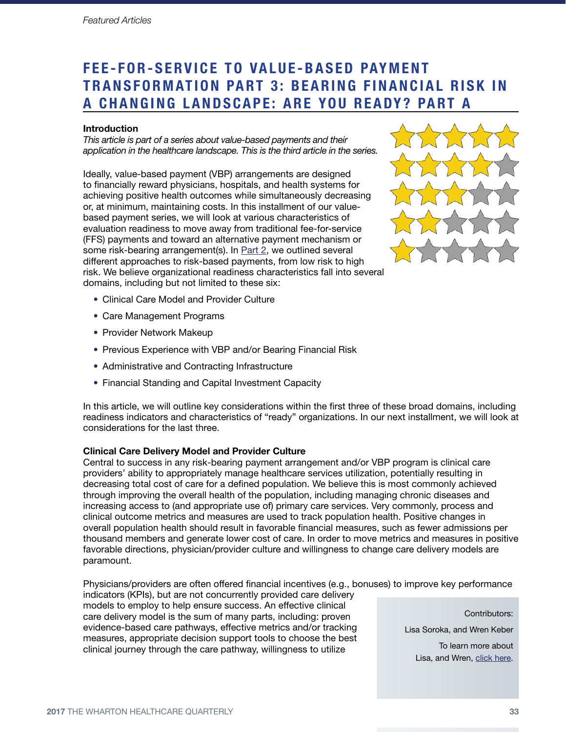# FEE-FOR-SERVICE TO VALUE-BASED PAYMENT TRANSFORMATION PART 3: BEARING FINANCIAL RISK IN a C hang ing L andscape: A re You R eady? Pa rt A

### **Introduction**

*This article is part of a series about value-based payments and their application in the healthcare landscape. This is the third article in the series.*

Ideally, value-based payment (VBP) arrangements are designed to financially reward physicians, hospitals, and health systems for achieving positive health outcomes while simultaneously decreasing or, at minimum, maintaining costs. In this installment of our valuebased payment series, we will look at various characteristics of evaluation readiness to move away from traditional fee-for-service (FFS) payments and toward an alternative payment mechanism or some risk-bearing arrangement(s). In [Part 2](http://www.whartonhealthcare.org/fee_for_service_provider_readiness), we outlined several different approaches to risk-based payments, from low risk to high risk. We believe organizational readiness characteristics fall into several domains, including but not limited to these six:



- Clinical Care Model and Provider Culture
- Care Management Programs
- Provider Network Makeup
- Previous Experience with VBP and/or Bearing Financial Risk
- Administrative and Contracting Infrastructure
- Financial Standing and Capital Investment Capacity

In this article, we will outline key considerations within the first three of these broad domains, including readiness indicators and characteristics of "ready" organizations. In our next installment, we will look at considerations for the last three.

#### Clinical Care Delivery Model and Provider Culture

Central to success in any risk-bearing payment arrangement and/or VBP program is clinical care providers' ability to appropriately manage healthcare services utilization, potentially resulting in decreasing total cost of care for a defined population. We believe this is most commonly achieved through improving the overall health of the population, including managing chronic diseases and increasing access to (and appropriate use of) primary care services. Very commonly, process and clinical outcome metrics and measures are used to track population health. Positive changes in overall population health should result in favorable financial measures, such as fewer admissions per thousand members and generate lower cost of care. In order to move metrics and measures in positive favorable directions, physician/provider culture and willingness to change care delivery models are paramount.

Physicians/providers are often offered financial incentives (e.g., bonuses) to improve key performance indicators (KPIs), but are not concurrently provided care delivery

models to employ to help ensure success. An effective clinical care delivery model is the sum of many parts, including: proven evidence-based care pathways, effective metrics and/or tracking measures, appropriate decision support tools to choose the best clinical journey through the care pathway, willingness to utilize

Contributors:

Lisa Soroka, and Wren Keber

To learn more about Lisa, and Wren, [click here.](http://www.whartonhealthcare.org/_lisa_soroka_and_wren_keber)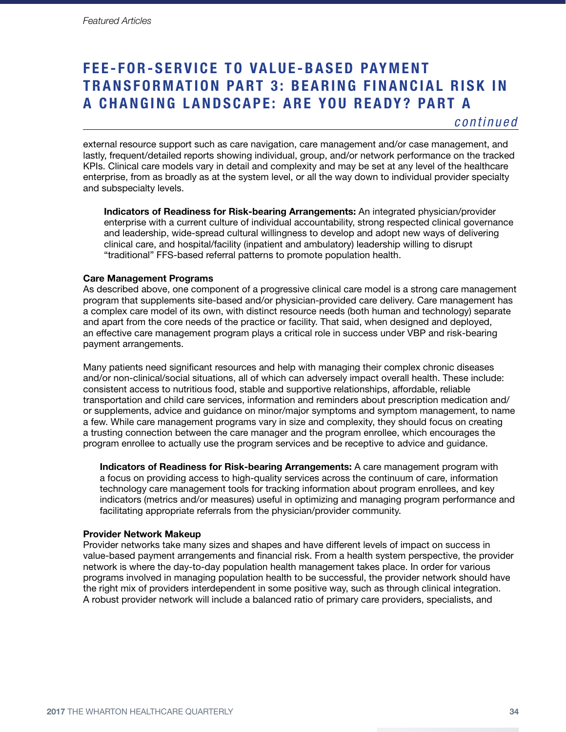# FEE-FOR-SERVICE TO VALUE-BASED PAYMENT TRANSFORMATION PART 3: BEARING FINANCIAL RISK IN a C hang ing L andscape: A re You R eady? Pa rt A

*continued*

external resource support such as care navigation, care management and/or case management, and lastly, frequent/detailed reports showing individual, group, and/or network performance on the tracked KPIs. Clinical care models vary in detail and complexity and may be set at any level of the healthcare enterprise, from as broadly as at the system level, or all the way down to individual provider specialty and subspecialty levels.

Indicators of Readiness for Risk-bearing Arrangements: An integrated physician/provider enterprise with a current culture of individual accountability, strong respected clinical governance and leadership, wide-spread cultural willingness to develop and adopt new ways of delivering clinical care, and hospital/facility (inpatient and ambulatory) leadership willing to disrupt "traditional" FFS-based referral patterns to promote population health.

#### Care Management Programs

As described above, one component of a progressive clinical care model is a strong care management program that supplements site-based and/or physician-provided care delivery. Care management has a complex care model of its own, with distinct resource needs (both human and technology) separate and apart from the core needs of the practice or facility. That said, when designed and deployed, an effective care management program plays a critical role in success under VBP and risk-bearing payment arrangements.

Many patients need significant resources and help with managing their complex chronic diseases and/or non-clinical/social situations, all of which can adversely impact overall health. These include: consistent access to nutritious food, stable and supportive relationships, affordable, reliable transportation and child care services, information and reminders about prescription medication and/ or supplements, advice and guidance on minor/major symptoms and symptom management, to name a few. While care management programs vary in size and complexity, they should focus on creating a trusting connection between the care manager and the program enrollee, which encourages the program enrollee to actually use the program services and be receptive to advice and guidance.

Indicators of Readiness for Risk-bearing Arrangements: A care management program with a focus on providing access to high-quality services across the continuum of care, information technology care management tools for tracking information about program enrollees, and key indicators (metrics and/or measures) useful in optimizing and managing program performance and facilitating appropriate referrals from the physician/provider community.

### Provider Network Makeup

Provider networks take many sizes and shapes and have different levels of impact on success in value-based payment arrangements and financial risk. From a health system perspective, the provider network is where the day-to-day population health management takes place. In order for various programs involved in managing population health to be successful, the provider network should have the right mix of providers interdependent in some positive way, such as through clinical integration. A robust provider network will include a balanced ratio of primary care providers, specialists, and